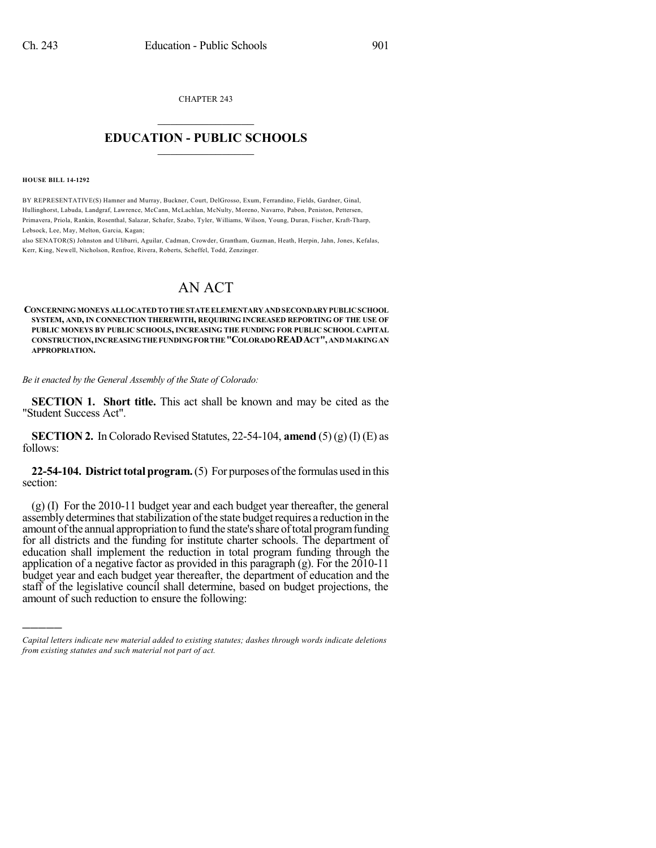CHAPTER 243

## $\overline{\phantom{a}}$  . The set of the set of the set of the set of the set of the set of the set of the set of the set of the set of the set of the set of the set of the set of the set of the set of the set of the set of the set o **EDUCATION - PUBLIC SCHOOLS**  $\_$   $\_$   $\_$   $\_$   $\_$   $\_$   $\_$   $\_$   $\_$

#### **HOUSE BILL 14-1292**

)))))

BY REPRESENTATIVE(S) Hamner and Murray, Buckner, Court, DelGrosso, Exum, Ferrandino, Fields, Gardner, Ginal, Hullinghorst, Labuda, Landgraf, Lawrence, McCann, McLachlan, McNulty, Moreno, Navarro, Pabon, Peniston, Pettersen, Primavera, Priola, Rankin, Rosenthal, Salazar, Schafer, Szabo, Tyler, Williams, Wilson, Young, Duran, Fischer, Kraft-Tharp, Lebsock, Lee, May, Melton, Garcia, Kagan;

also SENATOR(S) Johnston and Ulibarri, Aguilar, Cadman, Crowder, Grantham, Guzman, Heath, Herpin, Jahn, Jones, Kefalas, Kerr, King, Newell, Nicholson, Renfroe, Rivera, Roberts, Scheffel, Todd, Zenzinger.

# AN ACT

**CONCERNINGMONEYS ALLOCATEDTOTHESTATEELEMENTARYANDSECONDARYPUBLICSCHOOL SYSTEM, AND, IN CONNECTION THEREWITH, REQUIRING INCREASED REPORTING OF THE USE OF PUBLIC MONEYS BY PUBLIC SCHOOLS, INCREASING THE FUNDING FOR PUBLIC SCHOOL CAPITAL CONSTRUCTION,INCREASINGTHEFUNDINGFORTHE"COLORADOREADACT",ANDMAKINGAN APPROPRIATION.**

*Be it enacted by the General Assembly of the State of Colorado:*

**SECTION 1. Short title.** This act shall be known and may be cited as the "Student Success Act".

**SECTION 2.** In Colorado Revised Statutes, 22-54-104, **amend** (5) (g) (I) (E) as follows:

**22-54-104. District total program.** (5) For purposes of the formulas used in this section:

(g) (I) For the 2010-11 budget year and each budget year thereafter, the general assembly determines that stabilization of the state budget requires a reduction in the amount of the annual appropriation to fund the state's share of total program funding for all districts and the funding for institute charter schools. The department of education shall implement the reduction in total program funding through the application of a negative factor as provided in this paragraph (g). For the 2010-11 budget year and each budget year thereafter, the department of education and the staff of the legislative council shall determine, based on budget projections, the amount of such reduction to ensure the following:

*Capital letters indicate new material added to existing statutes; dashes through words indicate deletions from existing statutes and such material not part of act.*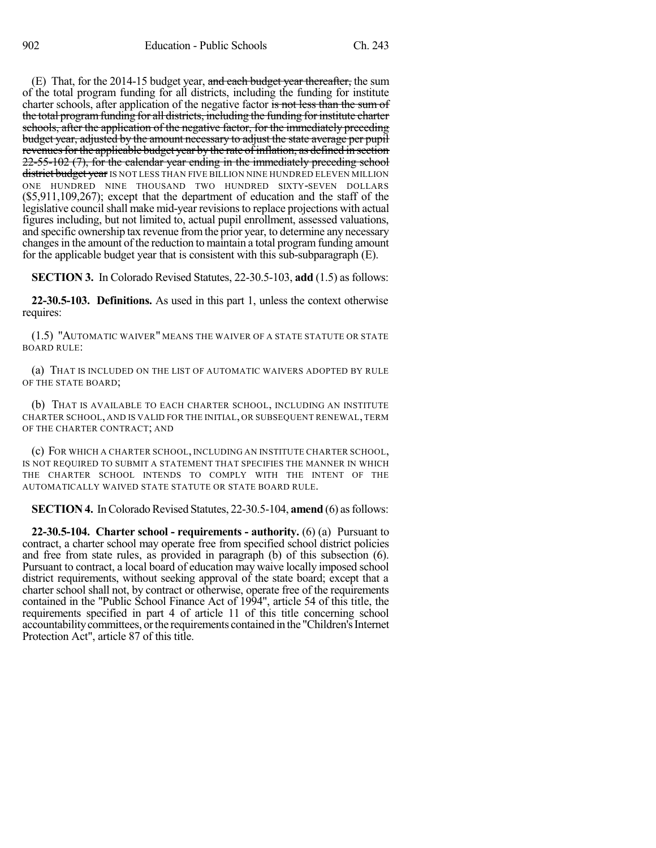(E) That, for the 2014-15 budget year, and each budget year thereafter, the sum of the total program funding for all districts, including the funding for institute charter schools, after application of the negative factor is not less than the sum of the total programfunding for all districts, including the funding forinstitute charter schools, after the application of the negative factor, for the immediately preceding budget year, adjusted by the amount necessary to adjust the state average per pupil revenues for the applicable budget year by the rate of inflation, as defined in section 22-55-102 (7), for the calendar year ending in the immediately preceding school district budget year IS NOT LESS THAN FIVE BILLION NINE HUNDRED ELEVEN MILLION ONE HUNDRED NINE THOUSAND TWO HUNDRED SIXTY-SEVEN DOLLARS (\$5,911,109,267); except that the department of education and the staff of the legislative council shall make mid-year revisions to replace projections with actual figures including, but not limited to, actual pupil enrollment, assessed valuations, and specific ownership tax revenue fromthe prior year, to determine any necessary changes in the amount of the reduction to maintain a total program funding amount for the applicable budget year that is consistent with this sub-subparagraph (E).

**SECTION 3.** In Colorado Revised Statutes, 22-30.5-103, **add** (1.5) as follows:

**22-30.5-103. Definitions.** As used in this part 1, unless the context otherwise requires:

(1.5) "AUTOMATIC WAIVER" MEANS THE WAIVER OF A STATE STATUTE OR STATE BOARD RULE:

(a) THAT IS INCLUDED ON THE LIST OF AUTOMATIC WAIVERS ADOPTED BY RULE OF THE STATE BOARD;

(b) THAT IS AVAILABLE TO EACH CHARTER SCHOOL, INCLUDING AN INSTITUTE CHARTER SCHOOL, AND IS VALID FOR THE INITIAL, OR SUBSEQUENT RENEWAL, TERM OF THE CHARTER CONTRACT; AND

(c) FOR WHICH A CHARTER SCHOOL, INCLUDING AN INSTITUTE CHARTER SCHOOL, IS NOT REQUIRED TO SUBMIT A STATEMENT THAT SPECIFIES THE MANNER IN WHICH THE CHARTER SCHOOL INTENDS TO COMPLY WITH THE INTENT OF THE AUTOMATICALLY WAIVED STATE STATUTE OR STATE BOARD RULE.

**SECTION 4.** In Colorado Revised Statutes, 22-30.5-104, **amend** (6) as follows:

**22-30.5-104. Charter school - requirements - authority.** (6) (a) Pursuant to contract, a charter school may operate free from specified school district policies and free from state rules, as provided in paragraph (b) of this subsection (6). Pursuant to contract, a local board of education may waive locally imposed school district requirements, without seeking approval of the state board; except that a charter school shall not, by contract or otherwise, operate free of the requirements contained in the "Public School Finance Act of 1994", article 54 of this title, the requirements specified in part 4 of article 11 of this title concerning school accountability committees, or the requirements contained in the "Children's Internet Protection Act", article 87 of this title.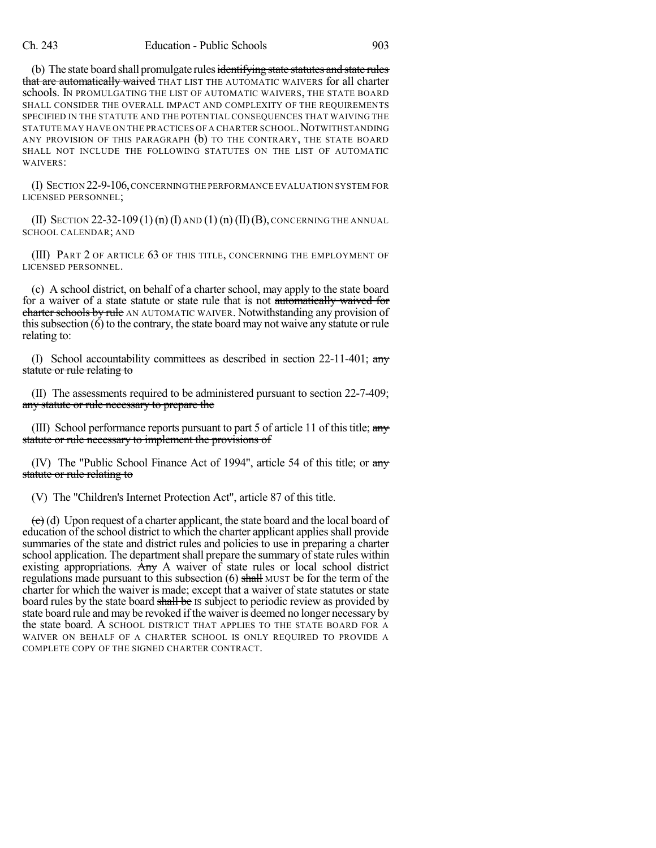(b) The state board shall promulgate rules identifying state statutes and state rules that are automatically waived THAT LIST THE AUTOMATIC WAIVERS for all charter schools. IN PROMULGATING THE LIST OF AUTOMATIC WAIVERS, THE STATE BOARD SHALL CONSIDER THE OVERALL IMPACT AND COMPLEXITY OF THE REQUIREMENTS SPECIFIED IN THE STATUTE AND THE POTENTIAL CONSEQUENCES THAT WAIVING THE STATUTE MAY HAVE ON THE PRACTICES OF A CHARTER SCHOOL. NOTWITHSTANDING ANY PROVISION OF THIS PARAGRAPH (b) TO THE CONTRARY, THE STATE BOARD SHALL NOT INCLUDE THE FOLLOWING STATUTES ON THE LIST OF AUTOMATIC WAIVERS:

(I) SECTION 22-9-106,CONCERNINGTHE PERFORMANCE EVALUATION SYSTEM FOR LICENSED PERSONNEL;

(II) SECTION 22-32-109(1)(n)(I) AND (1)(n)(II)(B), CONCERNING THE ANNUAL SCHOOL CALENDAR; AND

(III) PART 2 OF ARTICLE 63 OF THIS TITLE, CONCERNING THE EMPLOYMENT OF LICENSED PERSONNEL.

(c) A school district, on behalf of a charter school, may apply to the state board for a waiver of a state statute or state rule that is not automatically waived for charter schools by rule AN AUTOMATIC WAIVER. Notwithstanding any provision of this subsection  $(6)$  to the contrary, the state board may not waive any statute or rule relating to:

(I) School accountability committees as described in section  $22-11-401$ ; any statute or rule relating to

(II) The assessments required to be administered pursuant to section 22-7-409; any statute or rule necessary to prepare the

(III) School performance reports pursuant to part 5 of article 11 of this title;  $\frac{any}{ }$ statute or rule necessary to implement the provisions of

(IV) The "Public School Finance Act of 1994", article 54 of this title; or  $\frac{any}{ }$ statute or rule relating to

(V) The "Children's Internet Protection Act", article 87 of this title.

 $\left(\frac{c}{c}\right)$  (d) Upon request of a charter applicant, the state board and the local board of education of the school district to which the charter applicant applies shall provide summaries of the state and district rules and policies to use in preparing a charter school application. The department shall prepare the summary of state rules within existing appropriations. Any A waiver of state rules or local school district regulations made pursuant to this subsection  $(6)$  shall MUST be for the term of the charter for which the waiver is made; except that a waiver of state statutes or state board rules by the state board shall be IS subject to periodic review as provided by state board rule and may be revoked if the waiver is deemed no longer necessary by the state board. A SCHOOL DISTRICT THAT APPLIES TO THE STATE BOARD FOR A WAIVER ON BEHALF OF A CHARTER SCHOOL IS ONLY REQUIRED TO PROVIDE A COMPLETE COPY OF THE SIGNED CHARTER CONTRACT.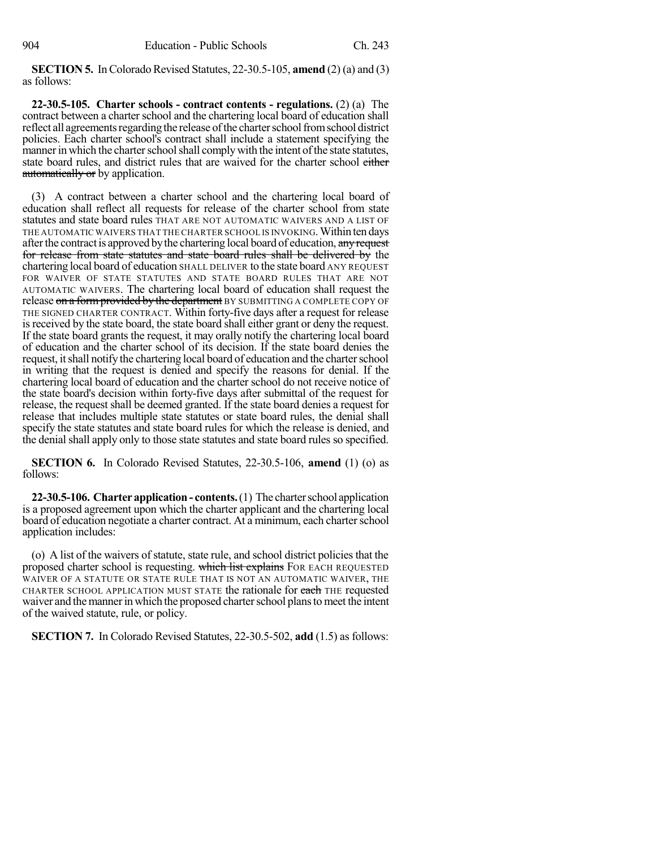**SECTION 5.** In Colorado Revised Statutes, 22-30.5-105, **amend** (2) (a) and (3) as follows:

**22-30.5-105. Charter schools - contract contents - regulations.** (2) (a) The contract between a charter school and the chartering local board of education shall reflect all agreements regarding the release of the charter school from school district policies. Each charter school's contract shall include a statement specifying the manner in which the charter school shall comply with the intent of the state statutes, state board rules, and district rules that are waived for the charter school either automatically or by application.

(3) A contract between a charter school and the chartering local board of education shall reflect all requests for release of the charter school from state statutes and state board rules THAT ARE NOT AUTOMATIC WAIVERS AND A LIST OF THE AUTOMATIC WAIVERS THAT THE CHARTER SCHOOL IS INVOKING. Within ten days after the contract is approved by the chartering local board of education, any request for release from state statutes and state board rules shall be delivered by the chartering local board of education SHALL DELIVER to the state board ANY REQUEST FOR WAIVER OF STATE STATUTES AND STATE BOARD RULES THAT ARE NOT AUTOMATIC WAIVERS. The chartering local board of education shall request the release on a form provided by the department BY SUBMITTING A COMPLETE COPY OF THE SIGNED CHARTER CONTRACT. Within forty-five days after a request for release is received by the state board, the state board shall either grant or deny the request. If the state board grants the request, it may orally notify the chartering local board of education and the charter school of its decision. If the state board denies the request, it shall notify the chartering local board of education and the charter school in writing that the request is denied and specify the reasons for denial. If the chartering local board of education and the charter school do not receive notice of the state board's decision within forty-five days after submittal of the request for release, the request shall be deemed granted. If the state board denies a request for release that includes multiple state statutes or state board rules, the denial shall specify the state statutes and state board rules for which the release is denied, and the denial shall apply only to those state statutes and state board rules so specified.

**SECTION 6.** In Colorado Revised Statutes, 22-30.5-106, **amend** (1) (o) as follows:

**22-30.5-106. Charterapplication- contents.**(1) The charterschool application is a proposed agreement upon which the charter applicant and the chartering local board of education negotiate a charter contract. At a minimum, each charter school application includes:

(o) A list of the waivers of statute, state rule, and school district policiesthat the proposed charter school is requesting. which list explains FOR EACH REQUESTED WAIVER OF A STATUTE OR STATE RULE THAT IS NOT AN AUTOMATIC WAIVER, THE CHARTER SCHOOL APPLICATION MUST STATE the rationale for each THE requested waiver and the manner in which the proposed charter school plans to meet the intent of the waived statute, rule, or policy.

**SECTION 7.** In Colorado Revised Statutes, 22-30.5-502, **add** (1.5) as follows: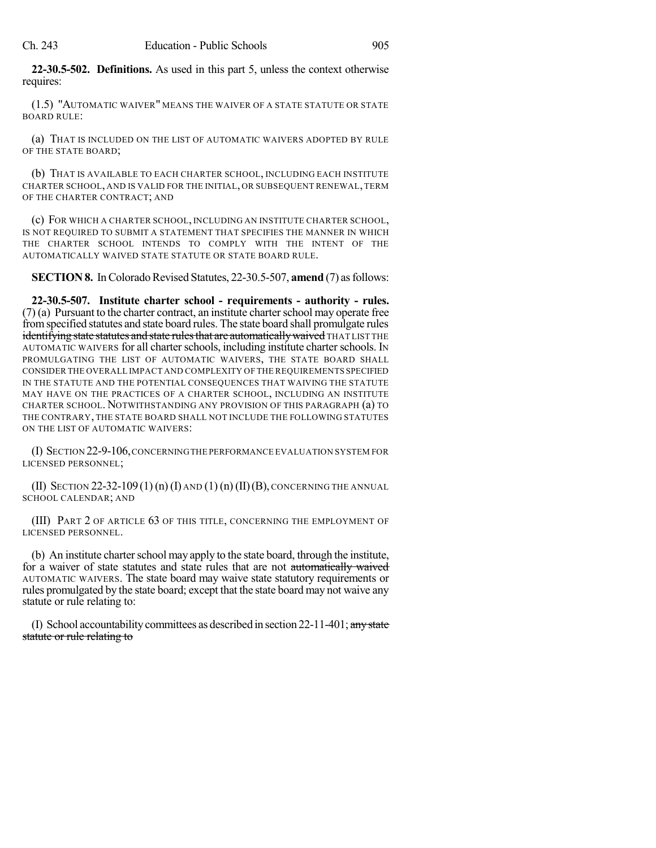**22-30.5-502. Definitions.** As used in this part 5, unless the context otherwise requires:

(1.5) "AUTOMATIC WAIVER" MEANS THE WAIVER OF A STATE STATUTE OR STATE BOARD RULE:

(a) THAT IS INCLUDED ON THE LIST OF AUTOMATIC WAIVERS ADOPTED BY RULE OF THE STATE BOARD;

(b) THAT IS AVAILABLE TO EACH CHARTER SCHOOL, INCLUDING EACH INSTITUTE CHARTER SCHOOL, AND IS VALID FOR THE INITIAL, OR SUBSEQUENT RENEWAL, TERM OF THE CHARTER CONTRACT; AND

(c) FOR WHICH A CHARTER SCHOOL, INCLUDING AN INSTITUTE CHARTER SCHOOL, IS NOT REQUIRED TO SUBMIT A STATEMENT THAT SPECIFIES THE MANNER IN WHICH THE CHARTER SCHOOL INTENDS TO COMPLY WITH THE INTENT OF THE AUTOMATICALLY WAIVED STATE STATUTE OR STATE BOARD RULE.

**SECTION 8.** In Colorado Revised Statutes, 22-30.5-507, **amend** (7) as follows:

**22-30.5-507. Institute charter school - requirements - authority - rules.**  $(7)$  (a) Pursuant to the charter contract, an institute charter school may operate free fromspecified statutes and state board rules. The state board shall promulgate rules identifying state statutes and state rules that are automatically waived THAT LIST THE AUTOMATIC WAIVERS for all charterschools, including institute charterschools. IN PROMULGATING THE LIST OF AUTOMATIC WAIVERS, THE STATE BOARD SHALL CONSIDER THE OVERALL IMPACT AND COMPLEXITY OF THE REQUIREMENTS SPECIFIED IN THE STATUTE AND THE POTENTIAL CONSEQUENCES THAT WAIVING THE STATUTE MAY HAVE ON THE PRACTICES OF A CHARTER SCHOOL, INCLUDING AN INSTITUTE CHARTER SCHOOL. NOTWITHSTANDING ANY PROVISION OF THIS PARAGRAPH (a) TO THE CONTRARY, THE STATE BOARD SHALL NOT INCLUDE THE FOLLOWING STATUTES ON THE LIST OF AUTOMATIC WAIVERS:

(I) SECTION 22-9-106,CONCERNINGTHE PERFORMANCE EVALUATION SYSTEM FOR LICENSED PERSONNEL;

(II) SECTION  $22-32-109(1)$  (n) (I) AND (1) (n) (II) (B), CONCERNING THE ANNUAL SCHOOL CALENDAR; AND

(III) PART 2 OF ARTICLE 63 OF THIS TITLE, CONCERNING THE EMPLOYMENT OF LICENSED PERSONNEL.

(b) An institute charter school may apply to the state board, through the institute, for a waiver of state statutes and state rules that are not automatically waived AUTOMATIC WAIVERS. The state board may waive state statutory requirements or rules promulgated by the state board; except that the state board may not waive any statute or rule relating to:

(I) School accountability committees as described in section  $22-11-401$ ; any state statute or rule relating to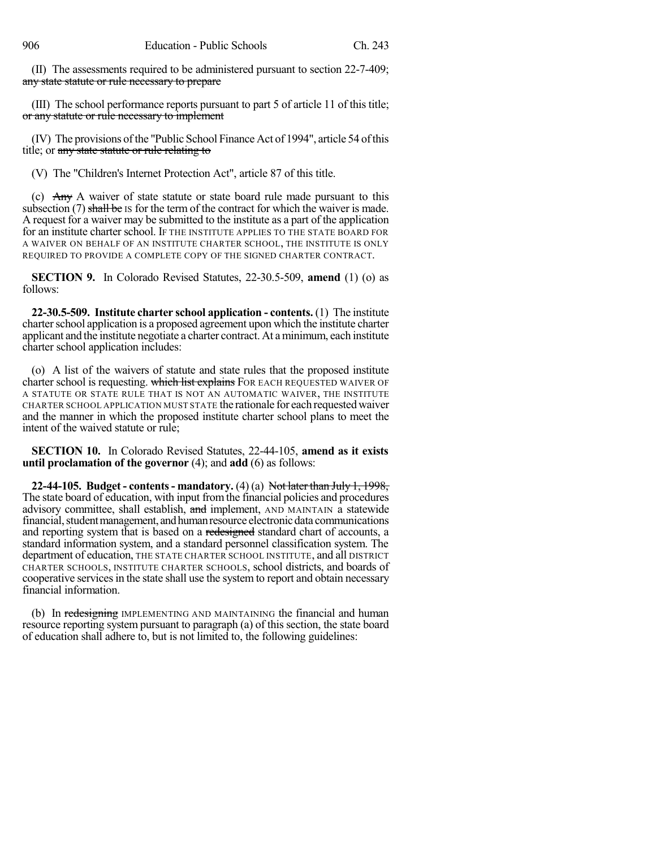(II) The assessments required to be administered pursuant to section 22-7-409; any state statute or rule necessary to prepare

(III) The school performance reports pursuant to part 5 of article 11 of this title; or any statute or rule necessary to implement

(IV) The provisions ofthe "Public School Finance Act of 1994", article 54 ofthis title; or any state statute or rule relating to

(V) The "Children's Internet Protection Act", article 87 of this title.

(c)  $\overrightarrow{Any}$  A waiver of state statute or state board rule made pursuant to this subsection  $(7)$  shall be IS for the term of the contract for which the waiver is made. A request for a waiver may be submitted to the institute as a part of the application for an institute charter school. IF THE INSTITUTE APPLIES TO THE STATE BOARD FOR A WAIVER ON BEHALF OF AN INSTITUTE CHARTER SCHOOL, THE INSTITUTE IS ONLY REQUIRED TO PROVIDE A COMPLETE COPY OF THE SIGNED CHARTER CONTRACT.

**SECTION 9.** In Colorado Revised Statutes, 22-30.5-509, **amend** (1) (o) as follows:

**22-30.5-509. Institute charter school application - contents.** (1) The institute charter school application is a proposed agreement upon which the institute charter applicant and the institute negotiate a charter contract. At aminimum, each institute charter school application includes:

(o) A list of the waivers of statute and state rules that the proposed institute charter school is requesting. which list explains FOR EACH REQUESTED WAIVER OF A STATUTE OR STATE RULE THAT IS NOT AN AUTOMATIC WAIVER, THE INSTITUTE CHARTER SCHOOL APPLICATION MUST STATE the rationale for each requested waiver and the manner in which the proposed institute charter school plans to meet the intent of the waived statute or rule;

**SECTION 10.** In Colorado Revised Statutes, 22-44-105, **amend as it exists until proclamation of the governor** (4); and **add** (6) as follows:

**22-44-105. Budget - contents- mandatory.** (4) (a) Not later than July 1, 1998, The state board of education, with input fromthe financial policies and procedures advisory committee, shall establish, and implement, AND MAINTAIN a statewide financial, student management, and human resource electronic data communications and reporting system that is based on a redesigned standard chart of accounts, a standard information system, and a standard personnel classification system. The department of education, THE STATE CHARTER SCHOOL INSTITUTE, and all DISTRICT CHARTER SCHOOLS, INSTITUTE CHARTER SCHOOLS, school districts, and boards of cooperative servicesin the state shall use the system to report and obtain necessary financial information.

(b) In redesigning IMPLEMENTING AND MAINTAINING the financial and human resource reporting system pursuant to paragraph (a) of this section, the state board of education shall adhere to, but is not limited to, the following guidelines: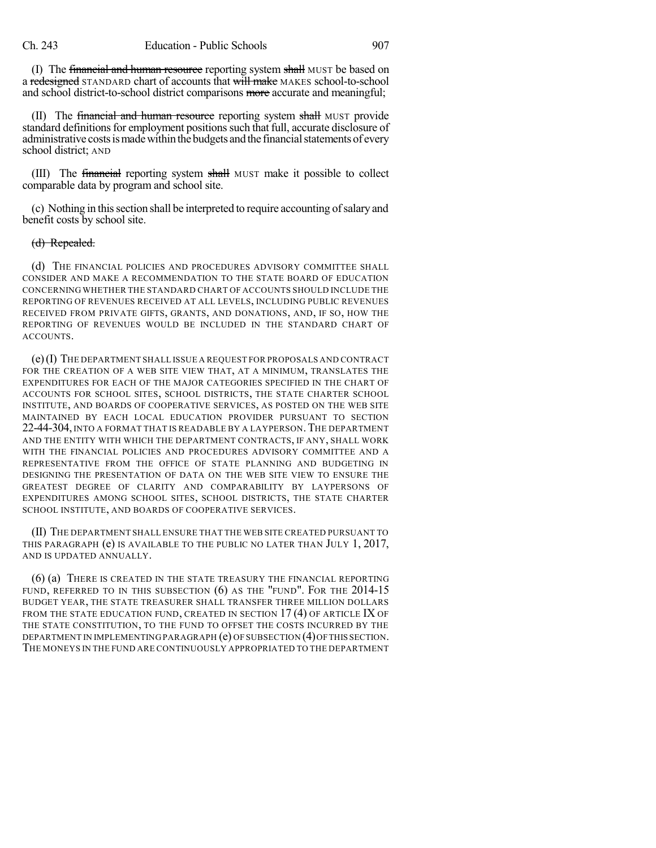(I) The financial and human resource reporting system shall MUST be based on a redesigned STANDARD chart of accounts that will make MAKES school-to-school and school district-to-school district comparisons more accurate and meaningful;

(II) The financial and human resource reporting system shall MUST provide standard definitions for employment positions such that full, accurate disclosure of administrative costs is made within the budgets and the financial statements of every school district; AND

(III) The financial reporting system shall MUST make it possible to collect comparable data by program and school site.

(c) Nothing in thissection shall be interpreted to require accounting ofsalary and benefit costs by school site.

#### (d) Repealed.

(d) THE FINANCIAL POLICIES AND PROCEDURES ADVISORY COMMITTEE SHALL CONSIDER AND MAKE A RECOMMENDATION TO THE STATE BOARD OF EDUCATION CONCERNING WHETHER THE STANDARD CHART OF ACCOUNTS SHOULD INCLUDE THE REPORTING OF REVENUES RECEIVED AT ALL LEVELS, INCLUDING PUBLIC REVENUES RECEIVED FROM PRIVATE GIFTS, GRANTS, AND DONATIONS, AND, IF SO, HOW THE REPORTING OF REVENUES WOULD BE INCLUDED IN THE STANDARD CHART OF ACCOUNTS.

(e)(I) THE DEPARTMENT SHALL ISSUE A REQUEST FOR PROPOSALS AND CONTRACT FOR THE CREATION OF A WEB SITE VIEW THAT, AT A MINIMUM, TRANSLATES THE EXPENDITURES FOR EACH OF THE MAJOR CATEGORIES SPECIFIED IN THE CHART OF ACCOUNTS FOR SCHOOL SITES, SCHOOL DISTRICTS, THE STATE CHARTER SCHOOL INSTITUTE, AND BOARDS OF COOPERATIVE SERVICES, AS POSTED ON THE WEB SITE MAINTAINED BY EACH LOCAL EDUCATION PROVIDER PURSUANT TO SECTION 22-44-304, INTO A FORMAT THAT IS READABLE BY A LAYPERSON.THE DEPARTMENT AND THE ENTITY WITH WHICH THE DEPARTMENT CONTRACTS, IF ANY, SHALL WORK WITH THE FINANCIAL POLICIES AND PROCEDURES ADVISORY COMMITTEE AND A REPRESENTATIVE FROM THE OFFICE OF STATE PLANNING AND BUDGETING IN DESIGNING THE PRESENTATION OF DATA ON THE WEB SITE VIEW TO ENSURE THE GREATEST DEGREE OF CLARITY AND COMPARABILITY BY LAYPERSONS OF EXPENDITURES AMONG SCHOOL SITES, SCHOOL DISTRICTS, THE STATE CHARTER SCHOOL INSTITUTE, AND BOARDS OF COOPERATIVE SERVICES.

(II) THE DEPARTMENT SHALL ENSURE THAT THE WEB SITE CREATED PURSUANT TO THIS PARAGRAPH (e) IS AVAILABLE TO THE PUBLIC NO LATER THAN JULY 1, 2017, AND IS UPDATED ANNUALLY.

(6) (a) THERE IS CREATED IN THE STATE TREASURY THE FINANCIAL REPORTING FUND, REFERRED TO IN THIS SUBSECTION (6) AS THE "FUND". FOR THE 2014-15 BUDGET YEAR, THE STATE TREASURER SHALL TRANSFER THREE MILLION DOLLARS FROM THE STATE EDUCATION FUND, CREATED IN SECTION  $17(4)$  OF ARTICLE IX OF THE STATE CONSTITUTION, TO THE FUND TO OFFSET THE COSTS INCURRED BY THE DEPARTMENT IN IMPLEMENTING PARAGRAPH (e) OF SUBSECTION (4)OFTHIS SECTION. THE MONEYS IN THE FUND ARE CONTINUOUSLY APPROPRIATED TO THE DEPARTMENT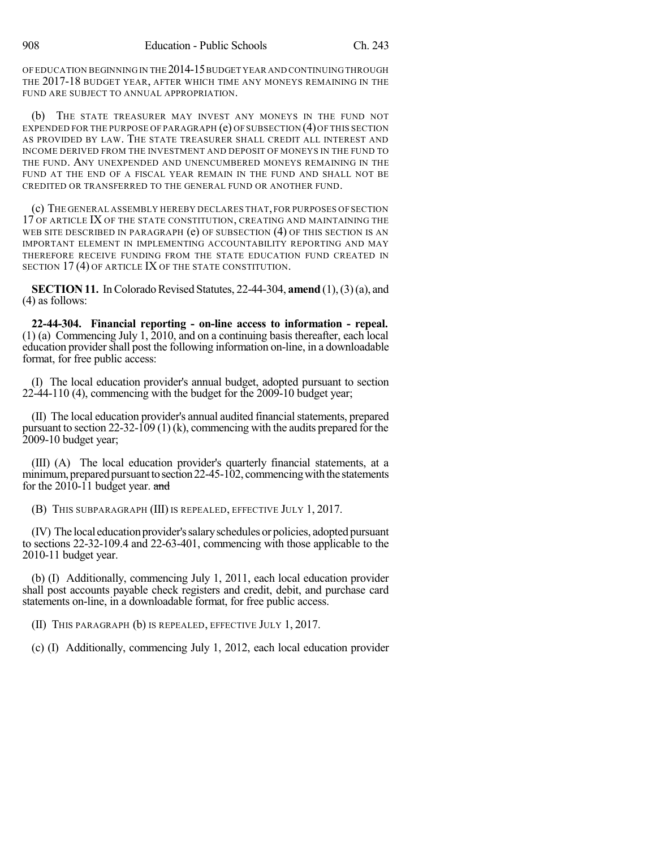OF EDUCATION BEGINNING IN THE 2014-15BUDGET YEAR AND CONTINUINGTHROUGH THE 2017-18 BUDGET YEAR, AFTER WHICH TIME ANY MONEYS REMAINING IN THE FUND ARE SUBJECT TO ANNUAL APPROPRIATION.

THE STATE TREASURER MAY INVEST ANY MONEYS IN THE FUND NOT EXPENDED FOR THE PURPOSE OF PARAGRAPH (e) OF SUBSECTION (4)OF THIS SECTION AS PROVIDED BY LAW. THE STATE TREASURER SHALL CREDIT ALL INTEREST AND INCOME DERIVED FROM THE INVESTMENT AND DEPOSIT OF MONEYS IN THE FUND TO THE FUND. ANY UNEXPENDED AND UNENCUMBERED MONEYS REMAINING IN THE FUND AT THE END OF A FISCAL YEAR REMAIN IN THE FUND AND SHALL NOT BE CREDITED OR TRANSFERRED TO THE GENERAL FUND OR ANOTHER FUND.

(c) THE GENERAL ASSEMBLY HEREBY DECLARES THAT, FOR PURPOSES OF SECTION 17 OF ARTICLE IX OF THE STATE CONSTITUTION, CREATING AND MAINTAINING THE WEB SITE DESCRIBED IN PARAGRAPH (e) OF SUBSECTION (4) OF THIS SECTION IS AN IMPORTANT ELEMENT IN IMPLEMENTING ACCOUNTABILITY REPORTING AND MAY THEREFORE RECEIVE FUNDING FROM THE STATE EDUCATION FUND CREATED IN SECTION 17(4) OF ARTICLE IX OF THE STATE CONSTITUTION.

**SECTION 11.** In Colorado Revised Statutes, 22-44-304, **amend** (1), (3) (a), and (4) as follows:

**22-44-304. Financial reporting - on-line access to information - repeal.** (1) (a) Commencing July 1, 2010, and on a continuing basis thereafter, each local education provider shall post the following information on-line, in a downloadable format, for free public access:

(I) The local education provider's annual budget, adopted pursuant to section 22-44-110 (4), commencing with the budget for the 2009-10 budget year;

(II) The local education provider's annual audited financialstatements, prepared pursuant to section 22-32-109 (1) (k), commencing with the audits prepared for the 2009-10 budget year;

(III) (A) The local education provider's quarterly financial statements, at a minimum, prepared pursuant to section  $22-45-102$ , commencing with the statements for the 2010-11 budget year. and

(B) THIS SUBPARAGRAPH (III) IS REPEALED, EFFECTIVE JULY 1, 2017.

(IV) The local education provider's salary schedules or policies, adopted pursuant to sections 22-32-109.4 and 22-63-401, commencing with those applicable to the 2010-11 budget year.

(b) (I) Additionally, commencing July 1, 2011, each local education provider shall post accounts payable check registers and credit, debit, and purchase card statements on-line, in a downloadable format, for free public access.

(II) THIS PARAGRAPH (b) IS REPEALED, EFFECTIVE JULY 1, 2017.

(c) (I) Additionally, commencing July 1, 2012, each local education provider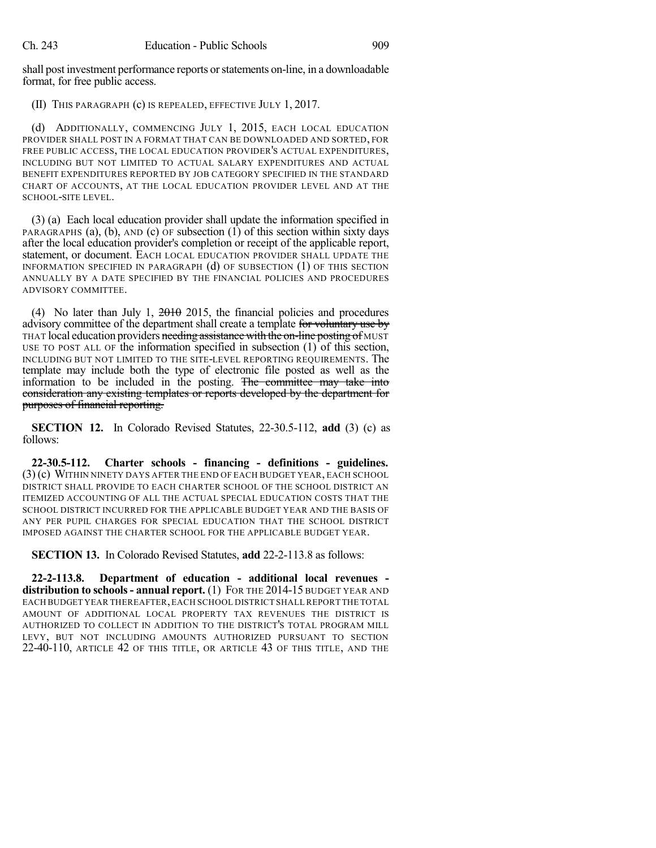shall post investment performance reports or statements on-line, in a downloadable format, for free public access.

(II) THIS PARAGRAPH (c) IS REPEALED, EFFECTIVE JULY 1, 2017.

(d) ADDITIONALLY, COMMENCING JULY 1, 2015, EACH LOCAL EDUCATION PROVIDER SHALL POST IN A FORMAT THAT CAN BE DOWNLOADED AND SORTED, FOR FREE PUBLIC ACCESS, THE LOCAL EDUCATION PROVIDER'S ACTUAL EXPENDITURES, INCLUDING BUT NOT LIMITED TO ACTUAL SALARY EXPENDITURES AND ACTUAL BENEFIT EXPENDITURES REPORTED BY JOB CATEGORY SPECIFIED IN THE STANDARD CHART OF ACCOUNTS, AT THE LOCAL EDUCATION PROVIDER LEVEL AND AT THE SCHOOL-SITE LEVEL.

(3) (a) Each local education provider shall update the information specified in PARAGRAPHS (a), (b), AND (c) OF subsection (1) of this section within sixty days after the local education provider's completion or receipt of the applicable report, statement, or document. EACH LOCAL EDUCATION PROVIDER SHALL UPDATE THE INFORMATION SPECIFIED IN PARAGRAPH (d) OF SUBSECTION (1) OF THIS SECTION ANNUALLY BY A DATE SPECIFIED BY THE FINANCIAL POLICIES AND PROCEDURES ADVISORY COMMITTEE.

(4) No later than July 1,  $2016$  2015, the financial policies and procedures advisory committee of the department shall create a template for voluntary use by THAT local education providers needing assistance with the on-line posting of MUST USE TO POST ALL OF the information specified in subsection (1) of this section, INCLUDING BUT NOT LIMITED TO THE SITE-LEVEL REPORTING REQUIREMENTS. The template may include both the type of electronic file posted as well as the information to be included in the posting. The committee may take into consideration any existing templates or reports developed by the department for purposes of financial reporting.

**SECTION 12.** In Colorado Revised Statutes, 22-30.5-112, **add** (3) (c) as follows:

**22-30.5-112. Charter schools - financing - definitions - guidelines.** (3) (c) WITHIN NINETY DAYS AFTER THE END OF EACH BUDGET YEAR, EACH SCHOOL DISTRICT SHALL PROVIDE TO EACH CHARTER SCHOOL OF THE SCHOOL DISTRICT AN ITEMIZED ACCOUNTING OF ALL THE ACTUAL SPECIAL EDUCATION COSTS THAT THE SCHOOL DISTRICT INCURRED FOR THE APPLICABLE BUDGET YEAR AND THE BASIS OF ANY PER PUPIL CHARGES FOR SPECIAL EDUCATION THAT THE SCHOOL DISTRICT IMPOSED AGAINST THE CHARTER SCHOOL FOR THE APPLICABLE BUDGET YEAR.

**SECTION 13.** In Colorado Revised Statutes, **add** 22-2-113.8 as follows:

**22-2-113.8. Department of education - additional local revenues distribution to schools- annual report.** (1) FOR THE 2014-15 BUDGET YEAR AND EACH BUDGET YEAR THEREAFTER,EACH SCHOOL DISTRICT SHALL REPORT THE TOTAL AMOUNT OF ADDITIONAL LOCAL PROPERTY TAX REVENUES THE DISTRICT IS AUTHORIZED TO COLLECT IN ADDITION TO THE DISTRICT'S TOTAL PROGRAM MILL LEVY, BUT NOT INCLUDING AMOUNTS AUTHORIZED PURSUANT TO SECTION 22-40-110, ARTICLE 42 OF THIS TITLE, OR ARTICLE 43 OF THIS TITLE, AND THE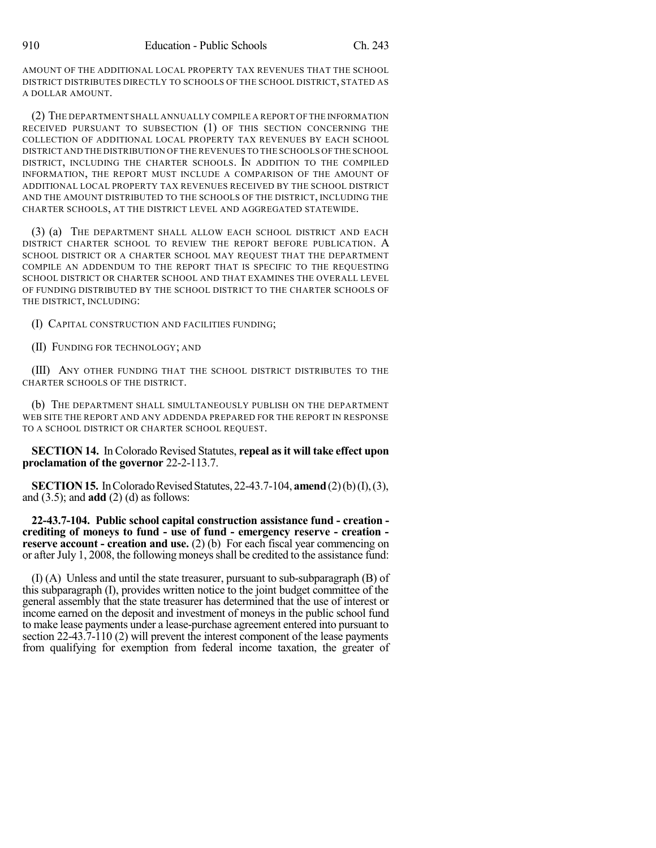AMOUNT OF THE ADDITIONAL LOCAL PROPERTY TAX REVENUES THAT THE SCHOOL DISTRICT DISTRIBUTES DIRECTLY TO SCHOOLS OF THE SCHOOL DISTRICT, STATED AS A DOLLAR AMOUNT.

(2) THE DEPARTMENT SHALL ANNUALLY COMPILE A REPORT OF THE INFORMATION RECEIVED PURSUANT TO SUBSECTION (1) OF THIS SECTION CONCERNING THE COLLECTION OF ADDITIONAL LOCAL PROPERTY TAX REVENUES BY EACH SCHOOL DISTRICT AND THE DISTRIBUTION OF THE REVENUES TO THE SCHOOLS OFTHE SCHOOL DISTRICT, INCLUDING THE CHARTER SCHOOLS. IN ADDITION TO THE COMPILED INFORMATION, THE REPORT MUST INCLUDE A COMPARISON OF THE AMOUNT OF ADDITIONAL LOCAL PROPERTY TAX REVENUES RECEIVED BY THE SCHOOL DISTRICT AND THE AMOUNT DISTRIBUTED TO THE SCHOOLS OF THE DISTRICT, INCLUDING THE CHARTER SCHOOLS, AT THE DISTRICT LEVEL AND AGGREGATED STATEWIDE.

(3) (a) THE DEPARTMENT SHALL ALLOW EACH SCHOOL DISTRICT AND EACH DISTRICT CHARTER SCHOOL TO REVIEW THE REPORT BEFORE PUBLICATION. A SCHOOL DISTRICT OR A CHARTER SCHOOL MAY REQUEST THAT THE DEPARTMENT COMPILE AN ADDENDUM TO THE REPORT THAT IS SPECIFIC TO THE REQUESTING SCHOOL DISTRICT OR CHARTER SCHOOL AND THAT EXAMINES THE OVERALL LEVEL OF FUNDING DISTRIBUTED BY THE SCHOOL DISTRICT TO THE CHARTER SCHOOLS OF THE DISTRICT, INCLUDING:

(I) CAPITAL CONSTRUCTION AND FACILITIES FUNDING;

(II) FUNDING FOR TECHNOLOGY; AND

(III) ANY OTHER FUNDING THAT THE SCHOOL DISTRICT DISTRIBUTES TO THE CHARTER SCHOOLS OF THE DISTRICT.

(b) THE DEPARTMENT SHALL SIMULTANEOUSLY PUBLISH ON THE DEPARTMENT WEB SITE THE REPORT AND ANY ADDENDA PREPARED FOR THE REPORT IN RESPONSE TO A SCHOOL DISTRICT OR CHARTER SCHOOL REQUEST.

**SECTION 14.** In Colorado Revised Statutes, **repeal asit will take effect upon proclamation of the governor** 22-2-113.7.

**SECTION 15.** In Colorado Revised Statutes, 22-43.7-104, **amend** (2)(b)(I), (3), and (3.5); and **add** (2) (d) as follows:

**22-43.7-104. Public school capital construction assistance fund - creation crediting of moneys to fund - use of fund - emergency reserve - creation reserve account - creation and use.** (2) (b) For each fiscal year commencing on or after July 1, 2008, the following moneys shall be credited to the assistance fund:

(I) (A) Unless and until the state treasurer, pursuant to sub-subparagraph (B) of this subparagraph (I), provides written notice to the joint budget committee of the general assembly that the state treasurer has determined that the use of interest or income earned on the deposit and investment of moneys in the public school fund to make lease payments under a lease-purchase agreement entered into pursuant to section 22-43.7-110 (2) will prevent the interest component of the lease payments from qualifying for exemption from federal income taxation, the greater of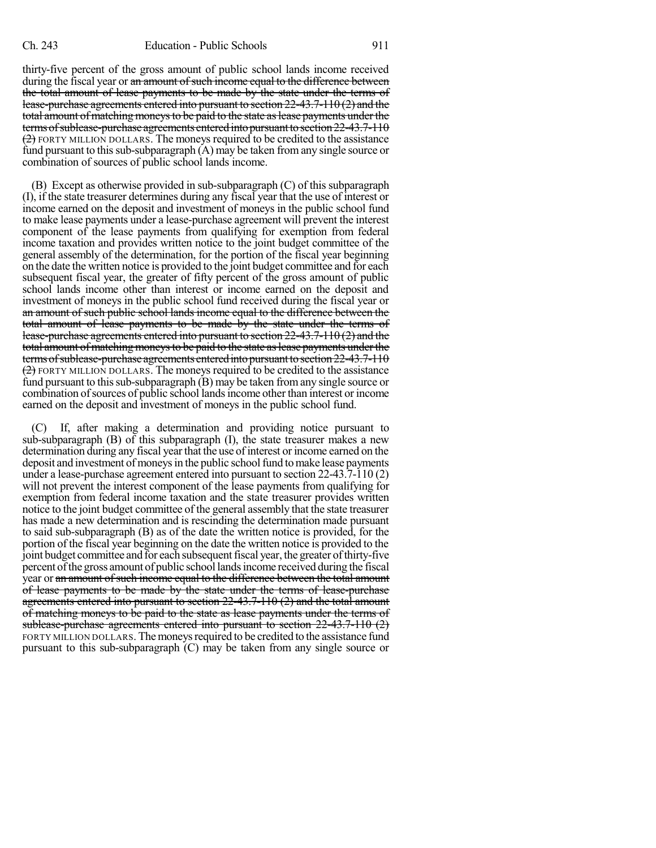thirty-five percent of the gross amount of public school lands income received during the fiscal year or an amount of such income equal to the difference between the total amount of lease payments to be made by the state under the terms of lease-purchase agreements entered into pursuant to section 22-43.7-110 (2) and the total amount of matching moneys to be paid to the state as lease payments under the terms of sublease-purchase agreements entered into pursuant to section 22-43.7-110  $(2)$  FORTY MILLION DOLLARS. The moneys required to be credited to the assistance fund pursuant to this sub-subparagraph  $(A)$  may be taken from any single source or combination of sources of public school lands income.

(B) Except as otherwise provided in sub-subparagraph (C) of this subparagraph (I), if the state treasurer determines during any fiscal year that the use of interest or income earned on the deposit and investment of moneys in the public school fund to make lease payments under a lease-purchase agreement will prevent the interest component of the lease payments from qualifying for exemption from federal income taxation and provides written notice to the joint budget committee of the general assembly of the determination, for the portion of the fiscal year beginning on the date the written notice is provided to the joint budget committee and for each subsequent fiscal year, the greater of fifty percent of the gross amount of public school lands income other than interest or income earned on the deposit and investment of moneys in the public school fund received during the fiscal year or an amount of such public school lands income equal to the difference between the total amount of lease payments to be made by the state under the terms of lease-purchase agreements entered into pursuant to section 22-43.7-110 (2) and the total amount of matching moneys to be paid to the state as lease payments under the terms of sublease-purchase agreements entered into pursuant to section  $22-43.7-110$  $(2)$  FORTY MILLION DOLLARS. The moneys required to be credited to the assistance fund pursuant to this sub-subparagraph  $(B)$  may be taken from any single source or combination ofsources of public school landsincome other than interest or income earned on the deposit and investment of moneys in the public school fund.

If, after making a determination and providing notice pursuant to sub-subparagraph (B) of this subparagraph (I), the state treasurer makes a new determination during any fiscal year that the use of interest or income earned on the deposit and investment of moneys in the public school fund to make lease payments under a lease-purchase agreement entered into pursuant to section 22-43.7-110 (2) will not prevent the interest component of the lease payments from qualifying for exemption from federal income taxation and the state treasurer provides written notice to the joint budget committee of the general assembly that the state treasurer has made a new determination and is rescinding the determination made pursuant to said sub-subparagraph (B) as of the date the written notice is provided, for the portion of the fiscal year beginning on the date the written notice is provided to the joint budget committee and for each subsequentfiscal year, the greater ofthirty-five percent ofthe gross amount of public schoollandsincome received during the fiscal year or an amount of such income equal to the difference between the total amount of lease payments to be made by the state under the terms of lease-purchase agreements entered into pursuant to section 22-43.7-110 (2) and the total amount of matching moneys to be paid to the state as lease payments under the terms of sublease-purchase agreements entered into pursuant to section 22-43.7-110 (2) FORTY MILLION DOLLARS. The moneys required to be credited to the assistance fund pursuant to this sub-subparagraph (C) may be taken from any single source or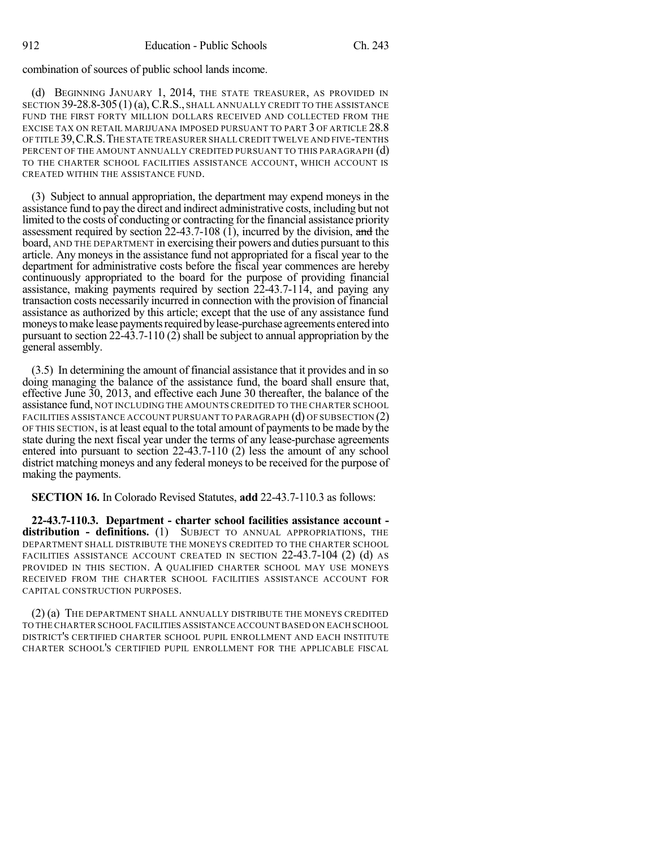combination of sources of public school lands income.

(d) BEGINNING JANUARY 1, 2014, THE STATE TREASURER, AS PROVIDED IN SECTION 39-28.8-305(1) (a), C.R.S., SHALL ANNUALLY CREDIT TO THE ASSISTANCE FUND THE FIRST FORTY MILLION DOLLARS RECEIVED AND COLLECTED FROM THE EXCISE TAX ON RETAIL MARIJUANA IMPOSED PURSUANT TO PART 3 OF ARTICLE 28.8 OF TITLE 39,C.R.S.THE STATE TREASURER SHALLCREDIT TWELVE AND FIVE-TENTHS PERCENT OF THE AMOUNT ANNUALLY CREDITED PURSUANT TO THIS PARAGRAPH (d) TO THE CHARTER SCHOOL FACILITIES ASSISTANCE ACCOUNT, WHICH ACCOUNT IS CREATED WITHIN THE ASSISTANCE FUND.

(3) Subject to annual appropriation, the department may expend moneys in the assistance fund to pay the direct and indirect administrative costs, including but not limited to the costs of conducting or contracting forthe financial assistance priority assessment required by section 22-43.7-108 (1), incurred by the division, and the board, AND THE DEPARTMENT in exercising their powers and duties pursuant to this article. Any moneys in the assistance fund not appropriated for a fiscal year to the department for administrative costs before the fiscal year commences are hereby continuously appropriated to the board for the purpose of providing financial assistance, making payments required by section 22-43.7-114, and paying any transaction costs necessarily incurred in connection with the provision of financial assistance as authorized by this article; except that the use of any assistance fund moneys to make lease payments required by lease-purchase agreements entered into pursuant to section 22-43.7-110 (2) shall be subject to annual appropriation by the general assembly.

(3.5) In determining the amount of financial assistance that it provides and in so doing managing the balance of the assistance fund, the board shall ensure that, effective June 30, 2013, and effective each June 30 thereafter, the balance of the assistance fund, NOT INCLUDING THE AMOUNTS CREDITED TO THE CHARTER SCHOOL FACILITIES ASSISTANCE ACCOUNT PURSUANT TO PARAGRAPH (d) OF SUBSECTION (2) OF THIS SECTION, is at least equal to the total amount of paymentsto be made by the state during the next fiscal year under the terms of any lease-purchase agreements entered into pursuant to section 22-43.7-110 (2) less the amount of any school district matching moneys and any federal moneysto be received for the purpose of making the payments.

**SECTION 16.** In Colorado Revised Statutes, **add** 22-43.7-110.3 as follows:

**22-43.7-110.3. Department - charter school facilities assistance account distribution - definitions.** (1) SUBJECT TO ANNUAL APPROPRIATIONS, THE DEPARTMENT SHALL DISTRIBUTE THE MONEYS CREDITED TO THE CHARTER SCHOOL FACILITIES ASSISTANCE ACCOUNT CREATED IN SECTION 22-43.7-104 (2) (d) AS PROVIDED IN THIS SECTION. A QUALIFIED CHARTER SCHOOL MAY USE MONEYS RECEIVED FROM THE CHARTER SCHOOL FACILITIES ASSISTANCE ACCOUNT FOR CAPITAL CONSTRUCTION PURPOSES.

(2) (a) THE DEPARTMENT SHALL ANNUALLY DISTRIBUTE THE MONEYS CREDITED TO THE CHARTER SCHOOL FACILITIES ASSISTANCE ACCOUNTBASED ON EACH SCHOOL DISTRICT'S CERTIFIED CHARTER SCHOOL PUPIL ENROLLMENT AND EACH INSTITUTE CHARTER SCHOOL'S CERTIFIED PUPIL ENROLLMENT FOR THE APPLICABLE FISCAL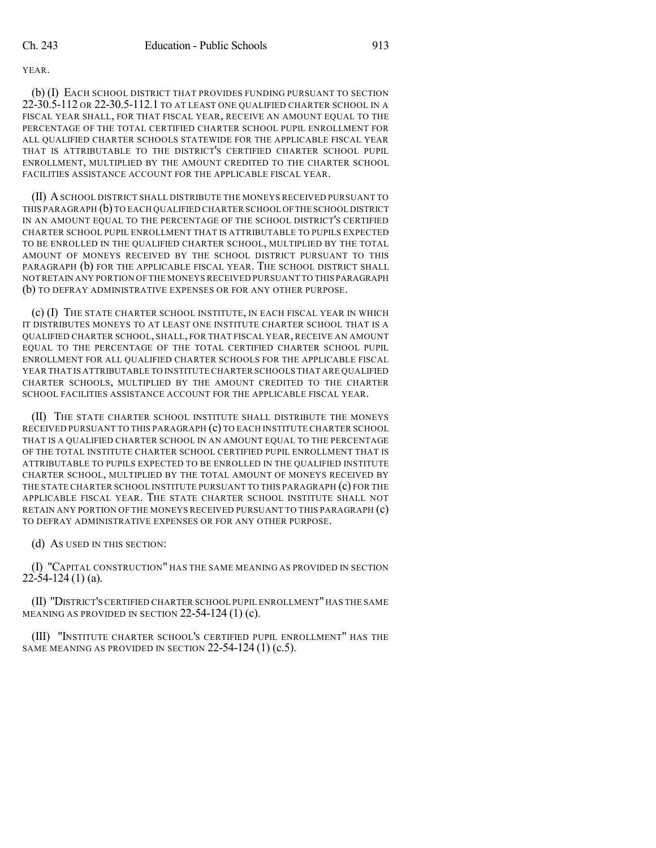(b) (I) EACH SCHOOL DISTRICT THAT PROVIDES FUNDING PURSUANT TO SECTION 22-30.5-112 OR 22-30.5-112.1 TO AT LEAST ONE QUALIFIED CHARTER SCHOOL IN A FISCAL YEAR SHALL, FOR THAT FISCAL YEAR, RECEIVE AN AMOUNT EQUAL TO THE PERCENTAGE OF THE TOTAL CERTIFIED CHARTER SCHOOL PUPIL ENROLLMENT FOR ALL QUALIFIED CHARTER SCHOOLS STATEWIDE FOR THE APPLICABLE FISCAL YEAR THAT IS ATTRIBUTABLE TO THE DISTRICT'S CERTIFIED CHARTER SCHOOL PUPIL ENROLLMENT, MULTIPLIED BY THE AMOUNT CREDITED TO THE CHARTER SCHOOL FACILITIES ASSISTANCE ACCOUNT FOR THE APPLICABLE FISCAL YEAR.

(II) ASCHOOL DISTRICT SHALL DISTRIBUTE THE MONEYS RECEIVED PURSUANT TO THIS PARAGRAPH (b) TO EACH QUALIFIED CHARTER SCHOOL OFTHE SCHOOL DISTRICT IN AN AMOUNT EQUAL TO THE PERCENTAGE OF THE SCHOOL DISTRICT'S CERTIFIED CHARTER SCHOOL PUPIL ENROLLMENT THAT IS ATTRIBUTABLE TO PUPILS EXPECTED TO BE ENROLLED IN THE QUALIFIED CHARTER SCHOOL, MULTIPLIED BY THE TOTAL AMOUNT OF MONEYS RECEIVED BY THE SCHOOL DISTRICT PURSUANT TO THIS PARAGRAPH (b) FOR THE APPLICABLE FISCAL YEAR. THE SCHOOL DISTRICT SHALL NOT RETAIN ANY PORTION OF THE MONEYS RECEIVED PURSUANT TO THIS PARAGRAPH (b) TO DEFRAY ADMINISTRATIVE EXPENSES OR FOR ANY OTHER PURPOSE.

(c) (I) THE STATE CHARTER SCHOOL INSTITUTE, IN EACH FISCAL YEAR IN WHICH IT DISTRIBUTES MONEYS TO AT LEAST ONE INSTITUTE CHARTER SCHOOL THAT IS A QUALIFIED CHARTER SCHOOL, SHALL, FOR THAT FISCAL YEAR, RECEIVE AN AMOUNT EQUAL TO THE PERCENTAGE OF THE TOTAL CERTIFIED CHARTER SCHOOL PUPIL ENROLLMENT FOR ALL QUALIFIED CHARTER SCHOOLS FOR THE APPLICABLE FISCAL YEAR THAT IS ATTRIBUTABLE TO INSTITUTE CHARTER SCHOOLS THAT ARE QUALIFIED CHARTER SCHOOLS, MULTIPLIED BY THE AMOUNT CREDITED TO THE CHARTER SCHOOL FACILITIES ASSISTANCE ACCOUNT FOR THE APPLICABLE FISCAL YEAR.

(II) THE STATE CHARTER SCHOOL INSTITUTE SHALL DISTRIBUTE THE MONEYS RECEIVED PURSUANT TO THIS PARAGRAPH (c) TO EACH INSTITUTE CHARTER SCHOOL THAT IS A QUALIFIED CHARTER SCHOOL IN AN AMOUNT EQUAL TO THE PERCENTAGE OF THE TOTAL INSTITUTE CHARTER SCHOOL CERTIFIED PUPIL ENROLLMENT THAT IS ATTRIBUTABLE TO PUPILS EXPECTED TO BE ENROLLED IN THE QUALIFIED INSTITUTE CHARTER SCHOOL, MULTIPLIED BY THE TOTAL AMOUNT OF MONEYS RECEIVED BY THE STATE CHARTER SCHOOL INSTITUTE PURSUANT TO THIS PARAGRAPH (c) FOR THE APPLICABLE FISCAL YEAR. THE STATE CHARTER SCHOOL INSTITUTE SHALL NOT RETAIN ANY PORTION OF THE MONEYS RECEIVED PURSUANT TO THIS PARAGRAPH (c) TO DEFRAY ADMINISTRATIVE EXPENSES OR FOR ANY OTHER PURPOSE.

(d) AS USED IN THIS SECTION:

(I) "CAPITAL CONSTRUCTION" HAS THE SAME MEANING AS PROVIDED IN SECTION  $22-54-124(1)$  (a).

(II) "DISTRICT'S CERTIFIED CHARTER SCHOOL PUPIL ENROLLMENT"HAS THE SAME MEANING AS PROVIDED IN SECTION  $22-54-124$  (1) (c).

(III) "INSTITUTE CHARTER SCHOOL'S CERTIFIED PUPIL ENROLLMENT" HAS THE SAME MEANING AS PROVIDED IN SECTION 22-54-124 (1) (c.5).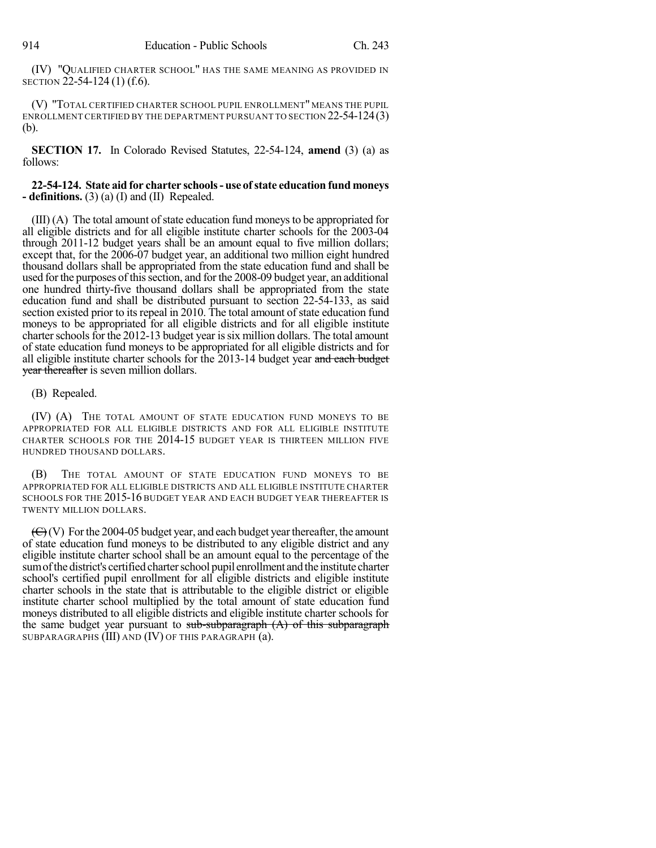(IV) "QUALIFIED CHARTER SCHOOL" HAS THE SAME MEANING AS PROVIDED IN SECTION 22-54-124 (1) (f.6).

(V) "TOTAL CERTIFIED CHARTER SCHOOL PUPIL ENROLLMENT" MEANS THE PUPIL ENROLLMENT CERTIFIED BY THE DEPARTMENT PURSUANT TO SECTION 22-54-124(3) (b).

**SECTION 17.** In Colorado Revised Statutes, 22-54-124, **amend** (3) (a) as follows:

**22-54-124. State aid for charter schools- use ofstate education fund moneys - definitions.** (3) (a) (I) and (II) Repealed.

 $(III)$  (A) The total amount of state education fund moneys to be appropriated for all eligible districts and for all eligible institute charter schools for the 2003-04 through 2011-12 budget years shall be an amount equal to five million dollars; except that, for the 2006-07 budget year, an additional two million eight hundred thousand dollars shall be appropriated from the state education fund and shall be used for the purposes of this section, and for the 2008-09 budget year, an additional one hundred thirty-five thousand dollars shall be appropriated from the state education fund and shall be distributed pursuant to section 22-54-133, as said section existed prior to its repeal in 2010. The total amount of state education fund moneys to be appropriated for all eligible districts and for all eligible institute charter schools for the 2012-13 budget year is six million dollars. The total amount of state education fund moneys to be appropriated for all eligible districts and for all eligible institute charter schools for the 2013-14 budget year and each budget year thereafter is seven million dollars.

### (B) Repealed.

(IV) (A) THE TOTAL AMOUNT OF STATE EDUCATION FUND MONEYS TO BE APPROPRIATED FOR ALL ELIGIBLE DISTRICTS AND FOR ALL ELIGIBLE INSTITUTE CHARTER SCHOOLS FOR THE 2014-15 BUDGET YEAR IS THIRTEEN MILLION FIVE HUNDRED THOUSAND DOLLARS.

(B) THE TOTAL AMOUNT OF STATE EDUCATION FUND MONEYS TO BE APPROPRIATED FOR ALL ELIGIBLE DISTRICTS AND ALL ELIGIBLE INSTITUTE CHARTER SCHOOLS FOR THE 2015-16 BUDGET YEAR AND EACH BUDGET YEAR THEREAFTER IS TWENTY MILLION DOLLARS.

 $(\bigoplus)(V)$  For the 2004-05 budget year, and each budget year thereafter, the amount of state education fund moneys to be distributed to any eligible district and any eligible institute charter school shall be an amount equal to the percentage of the sum of the district's certified charter school pupil enrollment and the institute charter school's certified pupil enrollment for all eligible districts and eligible institute charter schools in the state that is attributable to the eligible district or eligible institute charter school multiplied by the total amount of state education fund moneys distributed to all eligible districts and eligible institute charter schools for the same budget year pursuant to  $sub-sub-graph(A)$  of this subparagraph SUBPARAGRAPHS (III) AND (IV) OF THIS PARAGRAPH (a).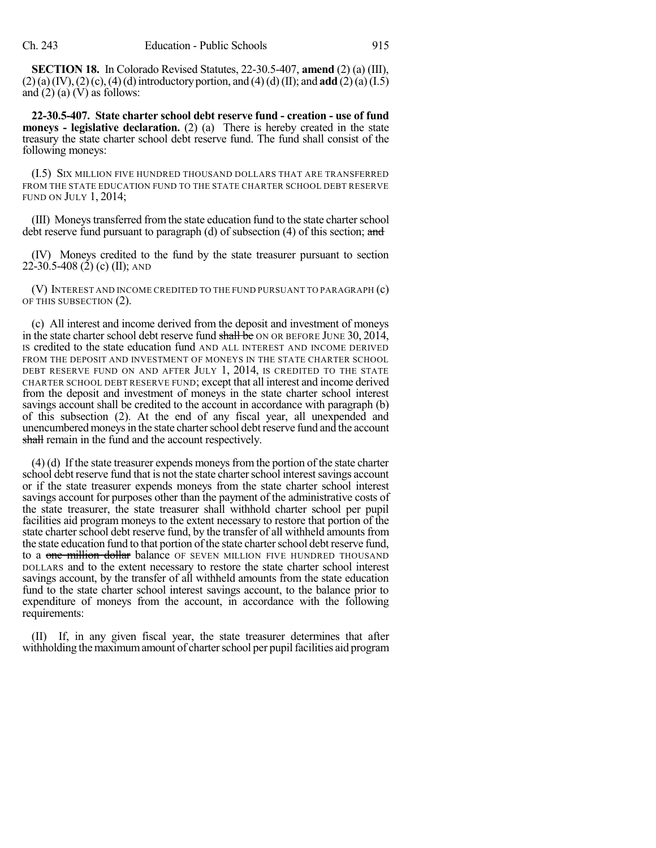**SECTION 18.** In Colorado Revised Statutes, 22-30.5-407, **amend** (2) (a) (III),  $(2)(a)(IV), (2)(c), (4)(d)$  introductory portion, and  $(4)(d)(II)$ ; and **add**  $(2)(a)(I.5)$ and  $(2)$  (a) (V) as follows:

**22-30.5-407. State charter school debt reserve fund - creation - use of fund moneys - legislative declaration.** (2) (a) There is hereby created in the state treasury the state charter school debt reserve fund. The fund shall consist of the following moneys:

(I.5) SIX MILLION FIVE HUNDRED THOUSAND DOLLARS THAT ARE TRANSFERRED FROM THE STATE EDUCATION FUND TO THE STATE CHARTER SCHOOL DEBT RESERVE FUND ON JULY 1, 2014;

(III) Moneystransferred fromthe state education fund to the state charterschool debt reserve fund pursuant to paragraph (d) of subsection  $(4)$  of this section; and

(IV) Moneys credited to the fund by the state treasurer pursuant to section 22-30.5-408 (2) (c) (II); AND

(V) INTEREST AND INCOME CREDITED TO THE FUND PURSUANT TO PARAGRAPH (c) OF THIS SUBSECTION (2).

(c) All interest and income derived from the deposit and investment of moneys in the state charter school debt reserve fund shall be ON OR BEFORE JUNE 30, 2014, IS credited to the state education fund AND ALL INTEREST AND INCOME DERIVED FROM THE DEPOSIT AND INVESTMENT OF MONEYS IN THE STATE CHARTER SCHOOL DEBT RESERVE FUND ON AND AFTER JULY 1, 2014, IS CREDITED TO THE STATE CHARTER SCHOOL DEBT RESERVE FUND; except that all interest and income derived from the deposit and investment of moneys in the state charter school interest savings account shall be credited to the account in accordance with paragraph (b) of this subsection (2). At the end of any fiscal year, all unexpended and unencumbered moneys in the state charter school debt reserve fund and the account shall remain in the fund and the account respectively.

 $(4)$  (d) If the state treasurer expends moneys from the portion of the state charter school debt reserve fund that is not the state charter school interest savings account or if the state treasurer expends moneys from the state charter school interest savings account for purposes other than the payment of the administrative costs of the state treasurer, the state treasurer shall withhold charter school per pupil facilities aid program moneys to the extent necessary to restore that portion of the state charter school debt reserve fund, by the transfer of all withheld amounts from the state education fund to that portion of the state charter school debt reserve fund, to a one million dollar balance OF SEVEN MILLION FIVE HUNDRED THOUSAND DOLLARS and to the extent necessary to restore the state charter school interest savings account, by the transfer of all withheld amounts from the state education fund to the state charter school interest savings account, to the balance prior to expenditure of moneys from the account, in accordance with the following requirements:

(II) If, in any given fiscal year, the state treasurer determines that after withholding the maximum amount of charter school per pupil facilities aid program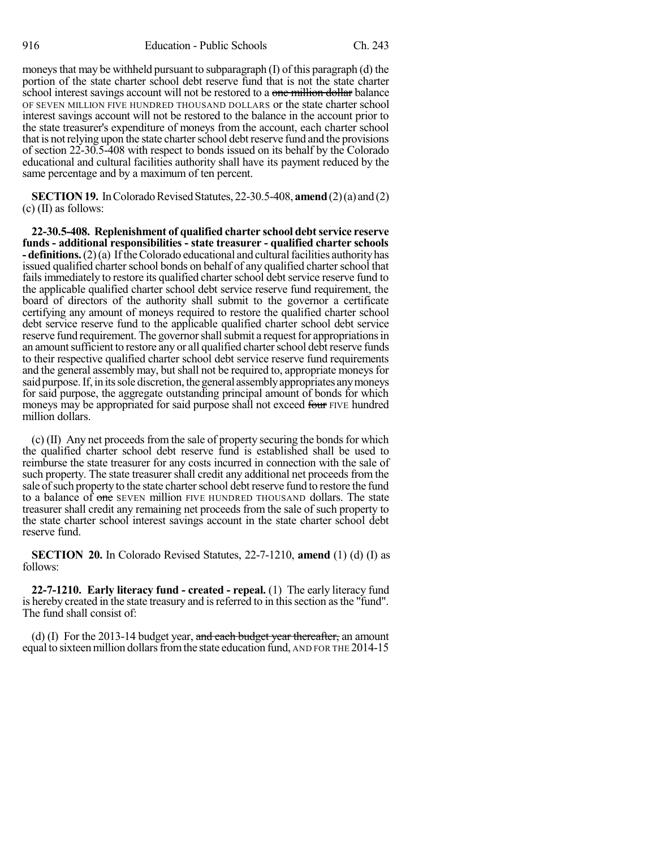moneys that may be withheld pursuant to subparagraph (I) of this paragraph (d) the portion of the state charter school debt reserve fund that is not the state charter school interest savings account will not be restored to a one million dollar balance OF SEVEN MILLION FIVE HUNDRED THOUSAND DOLLARS or the state charter school interest savings account will not be restored to the balance in the account prior to the state treasurer's expenditure of moneys from the account, each charter school that is not relying upon the state charter school debt reserve fund and the provisions of section 22-30.5-408 with respect to bonds issued on its behalf by the Colorado educational and cultural facilities authority shall have its payment reduced by the same percentage and by a maximum of ten percent.

**SECTION 19.** In Colorado Revised Statutes, 22-30.5-408, **amend** (2)(a) and (2)  $(c)$  (II) as follows:

**22-30.5-408. Replenishment of qualified charter school debtservice reserve funds - additional responsibilities - state treasurer - qualified charter schools - definitions.** (2)(a) If the Colorado educational and cultural facilities authority has issued qualified charter school bonds on behalf of any qualified charter school that fails immediately to restore its qualified charter school debt service reserve fund to the applicable qualified charter school debt service reserve fund requirement, the board of directors of the authority shall submit to the governor a certificate certifying any amount of moneys required to restore the qualified charter school debt service reserve fund to the applicable qualified charter school debt service reserve fund requirement. The governor shall submit a request for appropriations in an amount sufficient to restore any or all qualified charter school debt reserve funds to their respective qualified charter school debt service reserve fund requirements and the general assembly may, but shall not be required to, appropriate moneys for said purpose. If, in its sole discretion, the general assembly appropriates any moneys for said purpose, the aggregate outstanding principal amount of bonds for which moneys may be appropriated for said purpose shall not exceed four FIVE hundred million dollars.

 $(c)$  (II) Any net proceeds from the sale of property securing the bonds for which the qualified charter school debt reserve fund is established shall be used to reimburse the state treasurer for any costs incurred in connection with the sale of such property. The state treasurer shall credit any additional net proceeds from the sale of such property to the state charter school debt reserve fund to restore the fund to a balance of one SEVEN million FIVE HUNDRED THOUSAND dollars. The state treasurer shall credit any remaining net proceeds from the sale of such property to the state charter school interest savings account in the state charter school debt reserve fund.

**SECTION 20.** In Colorado Revised Statutes, 22-7-1210, **amend** (1) (d) (I) as follows:

**22-7-1210. Early literacy fund - created - repeal.** (1) The early literacy fund is hereby created in the state treasury and isreferred to in thissection asthe "fund". The fund shall consist of:

(d) (I) For the 2013-14 budget year, and each budget year thereafter, an amount equal to sixteen million dollars from the state education fund, AND FOR THE 2014-15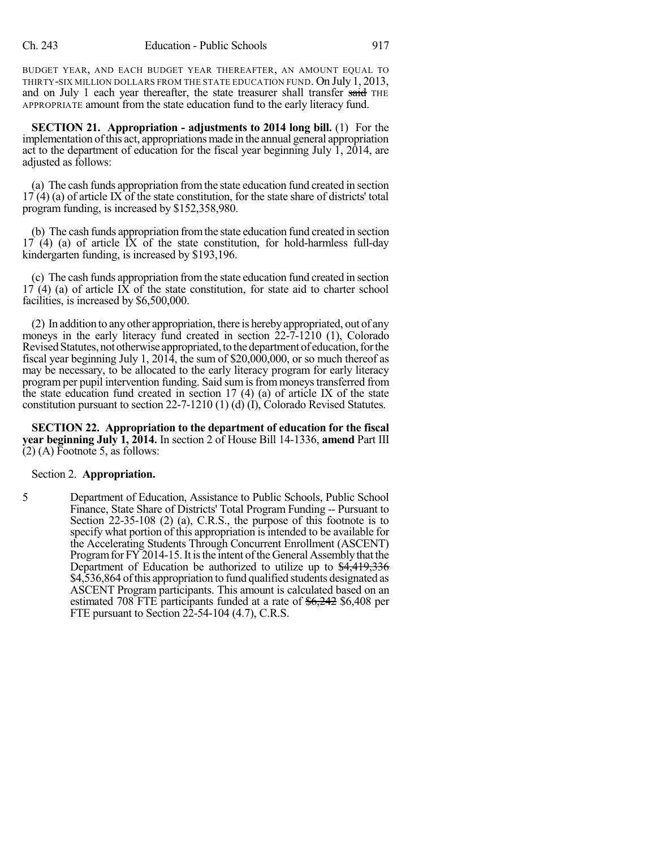BUDGET YEAR, AND EACH BUDGET YEAR THEREAFTER, AN AMOUNT EQUAL TO THIRTY-SIX MILLION DOLLARS FROM THE STATE EDUCATION FUND. On July 1, 2013, and on July 1 each year thereafter, the state treasurer shall transfer said THE APPROPRIATE amount from the state education fund to the early literacy fund.

**SECTION 21. Appropriation - adjustments to 2014 long bill.** (1) For the implementation ofthis act, appropriations made in the annual general appropriation act to the department of education for the fiscal year beginning July 1, 2014, are adjusted as follows:

(a) The cash funds appropriation fromthe state education fund created in section  $17(4)$  (a) of article IX of the state constitution, for the state share of districts' total program funding, is increased by \$152,358,980.

(b) The cash funds appropriation fromthe state education fund created in section  $17(4)$  (a) of article IX of the state constitution, for hold-harmless full-day kindergarten funding, is increased by \$193,196.

(c) The cash funds appropriation fromthe state education fund created in section  $17(4)$  (a) of article IX of the state constitution, for state aid to charter school facilities, is increased by \$6,500,000.

(2) In addition to anyother appropriation, there is herebyappropriated, out of any moneys in the early literacy fund created in section 22-7-1210 (1), Colorado Revised Statutes, not otherwise appropriated, to the department of education, for the fiscal year beginning July 1, 2014, the sum of \$20,000,000, or so much thereof as may be necessary, to be allocated to the early literacy program for early literacy program per pupil intervention funding. Said sum is from moneys transferred from the state education fund created in section 17 (4) (a) of article IX of the state constitution pursuant to section 22-7-1210 (1) (d) (I), Colorado Revised Statutes.

**SECTION 22. Appropriation to the department of education for the fiscal year beginning July 1, 2014.** In section 2 of House Bill 14-1336, **amend** Part III (2) (A) Footnote 5, as follows:

#### Section 2. **Appropriation.**

5 Department of Education, Assistance to Public Schools, Public School Finance, State Share of Districts' Total Program Funding -- Pursuant to Section 22-35-108 (2) (a), C.R.S., the purpose of this footnote is to specify what portion of this appropriation is intended to be available for the Accelerating Students Through Concurrent Enrollment (ASCENT) Program for FY 2014-15. It is the intent of the General Assembly that the Department of Education be authorized to utilize up to \$4,419,336 \$4,536,864 of this appropriation to fund qualified students designated as ASCENT Program participants. This amount is calculated based on an estimated 708 FTE participants funded at a rate of  $\frac{6,242}{6,408}$  per FTE pursuant to Section 22-54-104 (4.7), C.R.S.